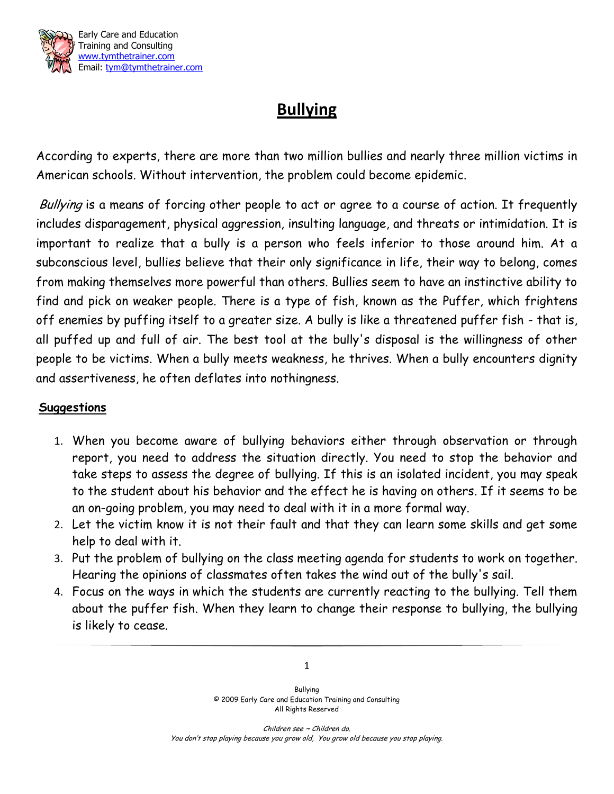

## **Bullying**

According to experts, there are more than two million bullies and nearly three million victims in American schools. Without intervention, the problem could become epidemic.

Bullying is a means of forcing other people to act or agree to a course of action. It frequently includes disparagement, physical aggression, insulting language, and threats or intimidation. It is important to realize that a bully is a person who feels inferior to those around him. At a subconscious level, bullies believe that their only significance in life, their way to belong, comes from making themselves more powerful than others. Bullies seem to have an instinctive ability to find and pick on weaker people. There is a type of fish, known as the Puffer, which frightens off enemies by puffing itself to a greater size. A bully is like a threatened puffer fish - that is, all puffed up and full of air. The best tool at the bully's disposal is the willingness of other people to be victims. When a bully meets weakness, he thrives. When a bully encounters dignity and assertiveness, he often deflates into nothingness.

## **Suggestions**

- 1. When you become aware of bullying behaviors either through observation or through report, you need to address the situation directly. You need to stop the behavior and take steps to assess the degree of bullying. If this is an isolated incident, you may speak to the student about his behavior and the effect he is having on others. If it seems to be an on-going problem, you may need to deal with it in a more formal way.
- 2. Let the victim know it is not their fault and that they can learn some skills and get some help to deal with it.
- 3. Put the problem of bullying on the class meeting agenda for students to work on together. Hearing the opinions of classmates often takes the wind out of the bully's sail.
- 4. Focus on the ways in which the students are currently reacting to the bullying. Tell them about the puffer fish. When they learn to change their response to bullying, the bullying is likely to cease.

Bullying © 2009 Early Care and Education Training and Consulting All Rights Reserved

1

Children see ~ Children do. You don't stop playing because you grow old, You grow old because you stop playing.